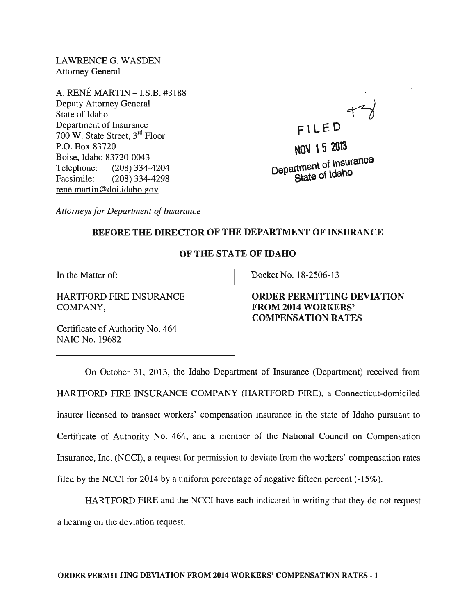LAWRENCE G. WASDEN Attorney General

A. RENÉ MARTIN – I.S.B. #3188 Deputy Attorney General State of Idaho Department of Insurance 700 W. State Street, 3rd Floor P.O. Box 83720 Boise, Idaho 83720-0043 Telephone: (208) 334-4204 Facsimile: (208) 334-4298 rene.martin@doi.idaho.gov

 $FILED$ 

NOV \ **5 20\3**  Department of Insurance State of Idaho

*Attorneys for Department of Insurance* 

## BEFORE THE DIRECTOR OF THE DEPARTMENT OF INSURANCE

## OF THE STATE OF IDAHO

In the Matter of:

HARTFORD FIRE INSURANCE COMPANY,

Certificate of Authority No. 464 NAIC No. 19682

Docket No. 18-2506-13

ORDER PERMITTING DEVIATION FROM 2014 WORKERS' COMPENSATION RATES

On October 31, 2013, the Idaho Department of Insurance (Department) received from HARTFORD FIRE INSURANCE COMPANY (HARTFORD FIRE), a Connecticut-domiciled insurer licensed to transact workers' compensation insurance in the state of Idaho pursuant to Certificate of Authority No. 464, and a member of the National Council on Compensation Insurance, Inc. (NCCI), a request for permission to deviate from the workers' compensation rates filed by the NCCI for 2014 by a uniform percentage of negative fifteen percent (-15%).

HARTFORD FIRE and the NCCI have each indicated in writing that they do not request a hearing on the deviation request.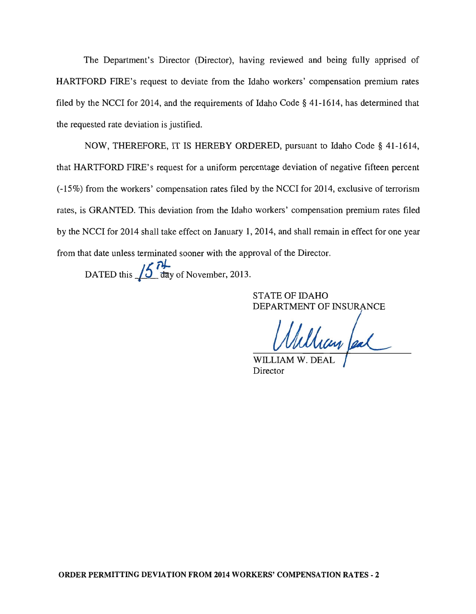The Department's Director (Director), having reviewed and being fully apprised of HARTFORD FIRE's request to deviate from the Idaho workers' compensation premium rates filed by the NCCI for 2014, and the requirements of Idaho Code § 41-1614, has determined that the requested rate deviation is justified.

NOW, THEREFORE, IT IS HEREBY ORDERED, pursuant to Idaho Code § 41-1614, that HARTFORD FIRE's request for a uniform percentage deviation of negative fifteen percent (-15%) from the workers' compensation rates filed by the NCCI for 2014, exclusive of terrorism rates, is GRANTED. This deviation from the Idaho workers' compensation premium rates filed by the NCCI for 2014 shall take effect on January 1,2014, and shall remain in effect for one year from that date unless terminated sooner with the approval of the Director.

DATED this **15 PM** day of November, 2013.

STATE OF IDAHO DEPARTMENT OF INSURANCE

William feel

Director